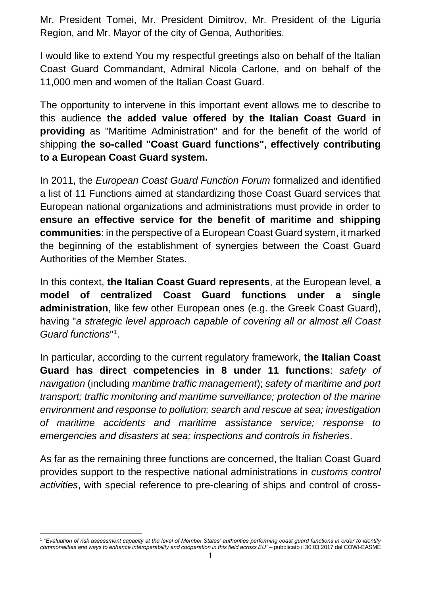Mr. President Tomei, Mr. President Dimitrov, Mr. President of the Liguria Region, and Mr. Mayor of the city of Genoa, Authorities.

I would like to extend You my respectful greetings also on behalf of the Italian Coast Guard Commandant, Admiral Nicola Carlone, and on behalf of the 11,000 men and women of the Italian Coast Guard.

The opportunity to intervene in this important event allows me to describe to this audience **the added value offered by the Italian Coast Guard in providing** as "Maritime Administration" and for the benefit of the world of shipping **the so-called "Coast Guard functions", effectively contributing to a European Coast Guard system.**

In 2011, the *European Coast Guard Function Forum* formalized and identified a list of 11 Functions aimed at standardizing those Coast Guard services that European national organizations and administrations must provide in order to **ensure an effective service for the benefit of maritime and shipping communities**: in the perspective of a European Coast Guard system, it marked the beginning of the establishment of synergies between the Coast Guard Authorities of the Member States.

In this context, **the Italian Coast Guard represents**, at the European level, **a model of centralized Coast Guard functions under a single administration**, like few other European ones (e.g. the Greek Coast Guard), having "*a strategic level approach capable of covering all or almost all Coast Guard functions*" 1 .

In particular, according to the current regulatory framework, **the Italian Coast Guard has direct competencies in 8 under 11 functions**: *safety of navigation* (including *maritime traffic management*); *safety of maritime and port transport; traffic monitoring and maritime surveillance; protection of the marine environment and response to pollution; search and rescue at sea; investigation of maritime accidents and maritime assistance service; response to emergencies and disasters at sea; inspections and controls in fisheries*.

As far as the remaining three functions are concerned, the Italian Coast Guard provides support to the respective national administrations in *customs control activities*, with special reference to pre-clearing of ships and control of cross-

<sup>1</sup> "*Evaluation of risk assessment capacity at the level of Member States' authorities performing coast guard functions in order to identify commonalities and ways to enhance interoperability and cooperation in this field across EU"* – pubblicato il 30.03.2017 dal COWI-EASME